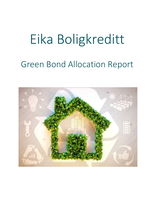## Eika Boligkreditt

## Green Bond Allocation Report